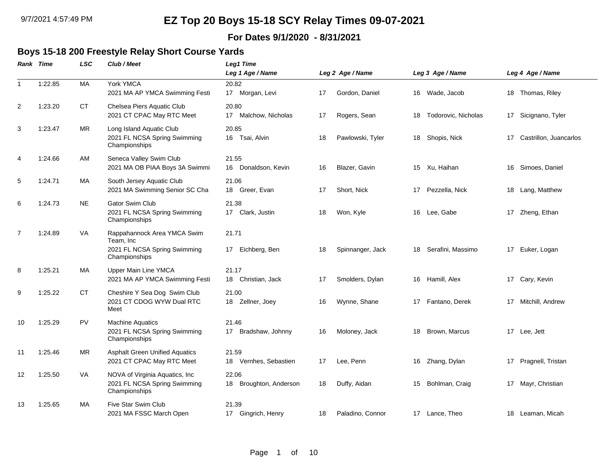### **For Dates 9/1/2020 - 8/31/2021**

## **Boys 15-18 200 Freestyle Relay Short Course Yards**

|                | <b>Rank Time</b> | LSC       | Club / Meet                                                                               | Leg1 Time<br>Leg 1 Age / Name      |    | Leg 2 Age / Name |    | Leg 3 Age / Name    |    | Leg 4 Age / Name       |
|----------------|------------------|-----------|-------------------------------------------------------------------------------------------|------------------------------------|----|------------------|----|---------------------|----|------------------------|
| $\mathbf{1}$   | 1:22.85          | <b>MA</b> | York YMCA<br>2021 MA AP YMCA Swimming Festi                                               | 20.82<br>17 Morgan, Levi           | 17 | Gordon, Daniel   | 16 | Wade, Jacob         |    | 18 Thomas, Riley       |
| 2              | 1:23.20          | <b>CT</b> | Chelsea Piers Aquatic Club<br>2021 CT CPAC May RTC Meet                                   | 20.80<br>17 Malchow, Nicholas      | 17 | Rogers, Sean     | 18 | Todorovic, Nicholas |    | 17 Sicignano, Tyler    |
| 3              | 1:23.47          | <b>MR</b> | Long Island Aquatic Club<br>2021 FL NCSA Spring Swimming<br>Championships                 | 20.85<br>16 Tsai, Alvin            | 18 | Pawlowski, Tyler |    | 18 Shopis, Nick     | 17 | Castrillon, Juancarlos |
| $\overline{4}$ | 1:24.66          | AM        | Seneca Valley Swim Club<br>2021 MA OB PIAA Boys 3A Swimmi                                 | 21.55<br>Donaldson, Kevin<br>16    | 16 | Blazer, Gavin    |    | 15 Xu, Haihan       | 16 | Simoes, Daniel         |
| 5              | 1:24.71          | MA.       | South Jersey Aquatic Club<br>2021 MA Swimming Senior SC Cha                               | 21.06<br>18 Greer, Evan            | 17 | Short, Nick      | 17 | Pezzella, Nick      |    | 18 Lang, Matthew       |
| 6              | 1:24.73          | <b>NE</b> | Gator Swim Club<br>2021 FL NCSA Spring Swimming<br>Championships                          | 21.38<br>17 Clark, Justin          | 18 | Won, Kyle        |    | 16 Lee, Gabe        |    | 17 Zheng, Ethan        |
| 7              | 1:24.89          | VA        | Rappahannock Area YMCA Swim<br>Team, Inc<br>2021 FL NCSA Spring Swimming<br>Championships | 21.71<br>17 Eichberg, Ben          | 18 | Spinnanger, Jack | 18 | Serafini, Massimo   | 17 | Euker, Logan           |
| 8              | 1:25.21          | MA        | Upper Main Line YMCA<br>2021 MA AP YMCA Swimming Festi                                    | 21.17<br>18 Christian, Jack        | 17 | Smolders, Dylan  |    | 16 Hamill, Alex     |    | 17 Cary, Kevin         |
| 9              | 1:25.22          | <b>CT</b> | Cheshire Y Sea Dog Swim Club<br>2021 CT CDOG WYW Dual RTC<br>Meet                         | 21.00<br>18<br>Zellner, Joey       | 16 | Wynne, Shane     | 17 | Fantano, Derek      | 17 | Mitchill, Andrew       |
| 10             | 1:25.29          | PV        | <b>Machine Aquatics</b><br>2021 FL NCSA Spring Swimming<br>Championships                  | 21.46<br>Bradshaw, Johnny<br>17    | 16 | Moloney, Jack    | 18 | Brown, Marcus       |    | 17 Lee, Jett           |
| 11             | 1:25.46          | <b>MR</b> | <b>Asphalt Green Unified Aquatics</b><br>2021 CT CPAC May RTC Meet                        | 21.59<br>Vernhes, Sebastien<br>18  | 17 | Lee, Penn        | 16 | Zhang, Dylan        | 17 | Pragnell, Tristan      |
| 12             | 1:25.50          | VA        | NOVA of Virginia Aquatics, Inc<br>2021 FL NCSA Spring Swimming<br>Championships           | 22.06<br>18<br>Broughton, Anderson | 18 | Duffy, Aidan     | 15 | Bohlman, Craig      |    | 17 Mayr, Christian     |
| 13             | 1:25.65          | MA        | Five Star Swim Club<br>2021 MA FSSC March Open                                            | 21.39<br>17 Gingrich, Henry        | 18 | Paladino, Connor |    | 17 Lance, Theo      |    | 18 Leaman, Micah       |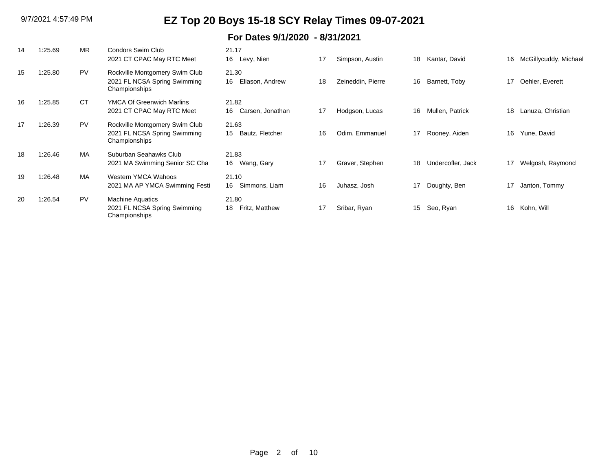| 14 | 1:25.69 | <b>MR</b> | Condors Swim Club<br>2021 CT CPAC May RTC Meet                                  | 21.17<br>16 Levy, Nien          | 17 | Simpson, Austin   | 18 | Kantar, David     | 16 | McGillycuddy, Michael |
|----|---------|-----------|---------------------------------------------------------------------------------|---------------------------------|----|-------------------|----|-------------------|----|-----------------------|
| 15 | 1:25.80 | <b>PV</b> | Rockville Montgomery Swim Club<br>2021 FL NCSA Spring Swimming<br>Championships | 21.30<br>16<br>Eliason, Andrew  | 18 | Zeineddin, Pierre | 16 | Barnett, Toby     | 17 | Oehler, Everett       |
| 16 | 1:25.85 | <b>CT</b> | <b>YMCA Of Greenwich Marlins</b><br>2021 CT CPAC May RTC Meet                   | 21.82<br>16<br>Carsen, Jonathan | 17 | Hodgson, Lucas    | 16 | Mullen, Patrick   | 18 | Lanuza, Christian     |
| 17 | 1:26.39 | <b>PV</b> | Rockville Montgomery Swim Club<br>2021 FL NCSA Spring Swimming<br>Championships | 21.63<br>15<br>Bautz, Fletcher  | 16 | Odim. Emmanuel    | 17 | Rooney, Aiden     | 16 | Yune, David           |
| 18 | 1:26.46 | <b>MA</b> | Suburban Seahawks Club<br>2021 MA Swimming Senior SC Cha                        | 21.83<br>16 Wang, Gary          | 17 | Graver, Stephen   | 18 | Undercofler, Jack | 17 | Welgosh, Raymond      |
| 19 | 1:26.48 | MA        | Western YMCA Wahoos<br>2021 MA AP YMCA Swimming Festi                           | 21.10<br>Simmons, Liam<br>16    | 16 | Juhasz, Josh      | 17 | Doughty, Ben      | 17 | Janton, Tommy         |
| 20 | 1:26.54 | <b>PV</b> | <b>Machine Aquatics</b><br>2021 FL NCSA Spring Swimming<br>Championships        | 21.80<br>18<br>Fritz, Matthew   | 17 | Sribar, Ryan      | 15 | Seo, Ryan         | 16 | Kohn, Will            |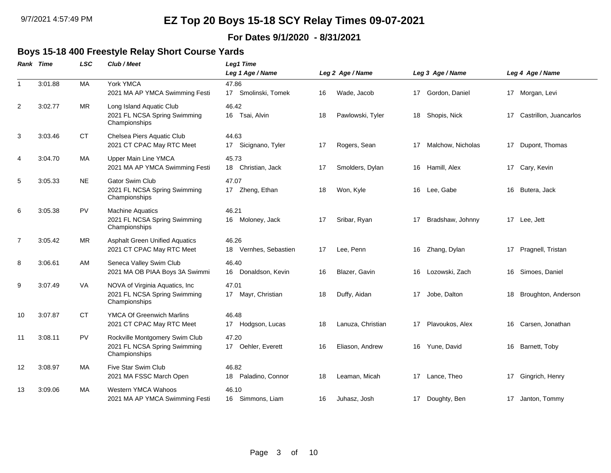### **For Dates 9/1/2020 - 8/31/2021**

### **Boys 15-18 400 Freestyle Relay Short Course Yards**

|                | <b>LSC</b><br>Rank Time |           | Club / Meet                                                                      | <b>Leg1 Time</b><br>Leg 1 Age / Name<br>Leg 2 Age / Name |    |                   |    | Leg 3 Age / Name  |    | Leg 4 Age / Name       |  |  |  |
|----------------|-------------------------|-----------|----------------------------------------------------------------------------------|----------------------------------------------------------|----|-------------------|----|-------------------|----|------------------------|--|--|--|
| $\mathbf{1}$   | 3:01.88                 | МA        | York YMCA<br>2021 MA AP YMCA Swimming Festi                                      | 47.86<br>Smolinski, Tomek<br>17                          | 16 | Wade, Jacob       | 17 | Gordon, Daniel    |    | 17 Morgan, Levi        |  |  |  |
| 2              | 3:02.77                 | MR.       | Long Island Aquatic Club<br>2021 FL NCSA Spring Swimming<br>Championships        | 46.42<br>16 Tsai, Alvin                                  | 18 | Pawlowski, Tyler  | 18 | Shopis, Nick      | 17 | Castrillon, Juancarlos |  |  |  |
| 3              | 3:03.46                 | <b>CT</b> | Chelsea Piers Aquatic Club<br>2021 CT CPAC May RTC Meet                          | 44.63<br>17 Sicignano, Tyler                             | 17 | Rogers, Sean      | 17 | Malchow, Nicholas | 17 | Dupont, Thomas         |  |  |  |
| 4              | 3:04.70                 | MA        | <b>Upper Main Line YMCA</b><br>2021 MA AP YMCA Swimming Festi                    | 45.73<br>18 Christian, Jack                              | 17 | Smolders, Dylan   |    | 16 Hamill, Alex   |    | 17 Cary, Kevin         |  |  |  |
| 5              | 3:05.33                 | <b>NE</b> | <b>Gator Swim Club</b><br>2021 FL NCSA Spring Swimming<br>Championships          | 47.07<br>17 Zheng, Ethan                                 | 18 | Won, Kyle         | 16 | Lee, Gabe         | 16 | Butera, Jack           |  |  |  |
| 6              | 3:05.38                 | <b>PV</b> | <b>Machine Aquatics</b><br>2021 FL NCSA Spring Swimming<br>Championships         | 46.21<br>16 Moloney, Jack                                | 17 | Sribar, Ryan      | 17 | Bradshaw, Johnny  |    | 17 Lee, Jett           |  |  |  |
| $\overline{7}$ | 3:05.42                 | <b>MR</b> | <b>Asphalt Green Unified Aquatics</b><br>2021 CT CPAC May RTC Meet               | 46.26<br>18 Vernhes, Sebastien                           | 17 | Lee, Penn         | 16 | Zhang, Dylan      |    | 17 Pragnell, Tristan   |  |  |  |
| 8              | 3:06.61                 | AM        | Seneca Valley Swim Club<br>2021 MA OB PIAA Boys 3A Swimmi                        | 46.40<br>Donaldson, Kevin<br>16                          | 16 | Blazer, Gavin     | 16 | Lozowski, Zach    | 16 | Simoes, Daniel         |  |  |  |
| 9              | 3:07.49                 | VA        | NOVA of Virginia Aquatics, Inc.<br>2021 FL NCSA Spring Swimming<br>Championships | 47.01<br>17 Mayr, Christian                              | 18 | Duffy, Aidan      | 17 | Jobe, Dalton      | 18 | Broughton, Anderson    |  |  |  |
| 10             | 3:07.87                 | <b>CT</b> | <b>YMCA Of Greenwich Marlins</b><br>2021 CT CPAC May RTC Meet                    | 46.48<br>17 Hodgson, Lucas                               | 18 | Lanuza, Christian | 17 | Plavoukos, Alex   |    | 16 Carsen, Jonathan    |  |  |  |
| 11             | 3:08.11                 | <b>PV</b> | Rockville Montgomery Swim Club<br>2021 FL NCSA Spring Swimming<br>Championships  | 47.20<br>17 Oehler, Everett                              | 16 | Eliason, Andrew   | 16 | Yune, David       |    | 16 Barnett, Toby       |  |  |  |
| 12             | 3:08.97                 | MA        | Five Star Swim Club<br>2021 MA FSSC March Open                                   | 46.82<br>Paladino, Connor<br>18                          | 18 | Leaman, Micah     | 17 | Lance, Theo       | 17 | Gingrich, Henry        |  |  |  |
| 13             | 3:09.06                 | MA        | Western YMCA Wahoos<br>2021 MA AP YMCA Swimming Festi                            | 46.10<br>16 Simmons, Liam                                | 16 | Juhasz, Josh      | 17 | Doughty, Ben      |    | 17 Janton, Tommy       |  |  |  |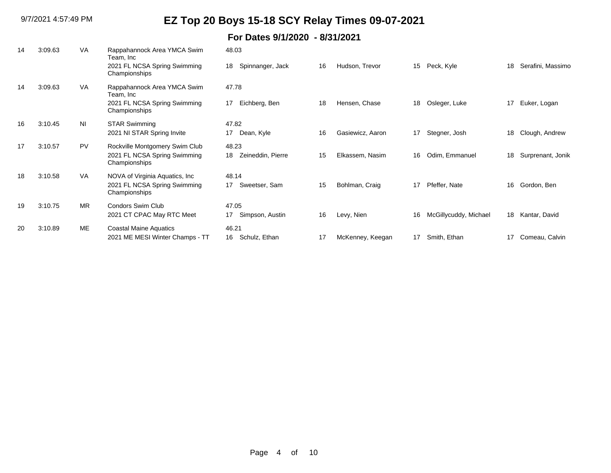| 14 | 3:09.63 | <b>VA</b> | Rappahannock Area YMCA Swim<br>Team, Inc      | 48.03                   |    |                  |    |                       |    |                   |
|----|---------|-----------|-----------------------------------------------|-------------------------|----|------------------|----|-----------------------|----|-------------------|
|    |         |           | 2021 FL NCSA Spring Swimming<br>Championships | Spinnanger, Jack<br>18  | 16 | Hudson, Trevor   | 15 | Peck, Kyle            | 18 | Serafini, Massimo |
| 14 | 3:09.63 | <b>VA</b> | Rappahannock Area YMCA Swim<br>Team, Inc      | 47.78                   |    |                  |    |                       |    |                   |
|    |         |           | 2021 FL NCSA Spring Swimming<br>Championships | Eichberg, Ben<br>17     | 18 | Hensen, Chase    | 18 | Osleger, Luke         | 17 | Euker, Logan      |
| 16 | 3:10.45 | <b>NI</b> | <b>STAR Swimming</b>                          | 47.82                   |    |                  |    |                       |    |                   |
|    |         |           | 2021 NI STAR Spring Invite                    | 17<br>Dean, Kyle        | 16 | Gasiewicz, Aaron | 17 | Stegner, Josh         | 18 | Clough, Andrew    |
| 17 | 3:10.57 | <b>PV</b> | Rockville Montgomery Swim Club                | 48.23                   |    |                  |    |                       |    |                   |
|    |         |           | 2021 FL NCSA Spring Swimming<br>Championships | Zeineddin, Pierre<br>18 | 15 | Elkassem, Nasim  | 16 | Odim, Emmanuel        | 18 | Surprenant, Jonik |
| 18 | 3:10.58 | VA        | NOVA of Virginia Aquatics, Inc.               | 48.14                   |    |                  |    |                       |    |                   |
|    |         |           | 2021 FL NCSA Spring Swimming<br>Championships | Sweetser, Sam<br>17     | 15 | Bohlman, Craig   | 17 | Pfeffer, Nate         | 16 | Gordon, Ben       |
| 19 | 3:10.75 | <b>MR</b> | <b>Condors Swim Club</b>                      | 47.05                   |    |                  |    |                       |    |                   |
|    |         |           | 2021 CT CPAC May RTC Meet                     | Simpson, Austin<br>17   | 16 | Levy, Nien       | 16 | McGillycuddy, Michael | 18 | Kantar, David     |
| 20 | 3:10.89 | ME        | <b>Coastal Maine Aquatics</b>                 | 46.21                   |    |                  |    |                       |    |                   |
|    |         |           | 2021 ME MESI Winter Champs - TT               | Schulz, Ethan<br>16     | 17 | McKenney, Keegan | 17 | Smith, Ethan          | 17 | Comeau, Calvin    |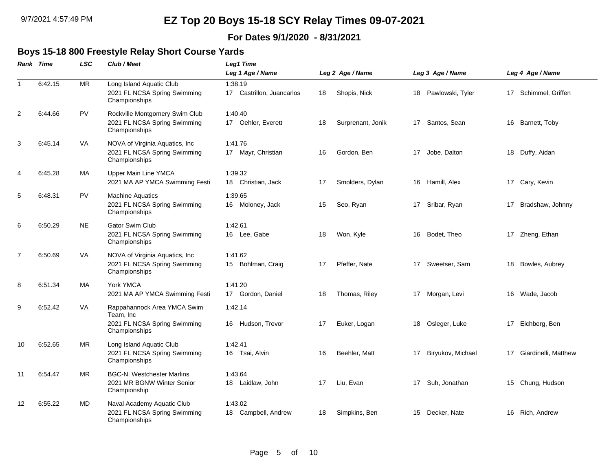### **For Dates 9/1/2020 - 8/31/2021**

#### **Boys 15-18 800 Freestyle Relay Short Course Yards**

|    | Rank Time | LSC       | Club / Meet                                                                      | <b>Leg1 Time</b>                     |    |                   |    |                   |    |                      |
|----|-----------|-----------|----------------------------------------------------------------------------------|--------------------------------------|----|-------------------|----|-------------------|----|----------------------|
|    |           |           |                                                                                  | Leg 1 Age / Name                     |    | Leg 2 Age / Name  |    | Leg 3 Age / Name  |    | Leg 4 Age / Name     |
| -1 | 6:42.15   | MR        | Long Island Aquatic Club<br>2021 FL NCSA Spring Swimming<br>Championships        | 1:38.19<br>17 Castrillon, Juancarlos | 18 | Shopis, Nick      | 18 | Pawlowski, Tyler  |    | 17 Schimmel, Griffen |
| 2  | 6:44.66   | <b>PV</b> | Rockville Montgomery Swim Club<br>2021 FL NCSA Spring Swimming<br>Championships  | 1:40.40<br>17 Oehler, Everett        | 18 | Surprenant, Jonik | 17 | Santos, Sean      | 16 | Barnett, Toby        |
| 3  | 6:45.14   | VA        | NOVA of Virginia Aquatics, Inc.<br>2021 FL NCSA Spring Swimming<br>Championships | 1:41.76<br>17 Mayr, Christian        | 16 | Gordon, Ben       | 17 | Jobe, Dalton      | 18 | Duffy, Aidan         |
| 4  | 6:45.28   | MA        | Upper Main Line YMCA<br>2021 MA AP YMCA Swimming Festi                           | 1:39.32<br>18 Christian, Jack        | 17 | Smolders, Dylan   |    | 16 Hamill, Alex   |    | 17 Cary, Kevin       |
| 5  | 6:48.31   | <b>PV</b> | <b>Machine Aquatics</b><br>2021 FL NCSA Spring Swimming<br>Championships         | 1:39.65<br>16 Moloney, Jack          | 15 | Seo, Ryan         |    | 17 Sribar, Ryan   |    | 17 Bradshaw, Johnny  |
| 6  | 6:50.29   | <b>NE</b> | <b>Gator Swim Club</b><br>2021 FL NCSA Spring Swimming<br>Championships          | 1:42.61<br>16 Lee, Gabe              | 18 | Won, Kyle         | 16 | Bodet, Theo       |    | 17 Zheng, Ethan      |
| 7  | 6:50.69   | VA        | NOVA of Virginia Aquatics, Inc<br>2021 FL NCSA Spring Swimming<br>Championships  | 1:41.62<br>15 Bohlman, Craig         | 17 | Pfeffer, Nate     | 17 | Sweetser, Sam     | 18 | Bowles, Aubrey       |
| 8  | 6:51.34   | МA        | York YMCA<br>2021 MA AP YMCA Swimming Festi                                      | 1:41.20<br>17 Gordon, Daniel         | 18 | Thomas, Riley     | 17 | Morgan, Levi      |    | 16 Wade, Jacob       |
| 9  | 6:52.42   | VA        | Rappahannock Area YMCA Swim<br>Team, Inc<br>2021 FL NCSA Spring Swimming         | 1:42.14<br>16 Hudson, Trevor         | 17 | Euker, Logan      | 18 | Osleger, Luke     | 17 | Eichberg, Ben        |
|    |           |           | Championships                                                                    |                                      |    |                   |    |                   |    |                      |
| 10 | 6:52.65   | MR.       | Long Island Aquatic Club<br>2021 FL NCSA Spring Swimming<br>Championships        | 1:42.41<br>16 Tsai, Alvin            | 16 | Beehler, Matt     | 17 | Biryukov, Michael | 17 | Giardinelli, Matthew |
| 11 | 6:54.47   | MR        | <b>BGC-N. Westchester Marlins</b><br>2021 MR BGNW Winter Senior<br>Championship  | 1:43.64<br>18 Laidlaw, John          | 17 | Liu, Evan         | 17 | Suh, Jonathan     | 15 | Chung, Hudson        |
| 12 | 6:55.22   | MD        | Naval Academy Aquatic Club<br>2021 FL NCSA Spring Swimming<br>Championships      | 1:43.02<br>Campbell, Andrew<br>18    | 18 | Simpkins, Ben     | 15 | Decker, Nate      | 16 | Rich, Andrew         |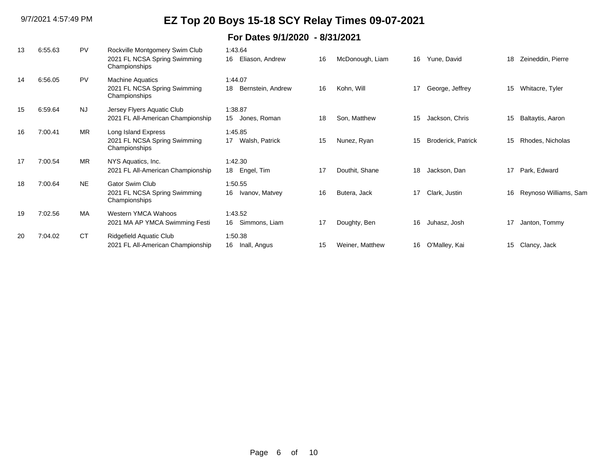| 13 | 6:55.63 | <b>PV</b> | Rockville Montgomery Swim Club<br>2021 FL NCSA Spring Swimming<br>Championships | 1:43.64<br>Eliason, Andrew<br>16   | 16 | McDonough, Liam | 16 | Yune, David               | 18 | Zeineddin, Pierre     |
|----|---------|-----------|---------------------------------------------------------------------------------|------------------------------------|----|-----------------|----|---------------------------|----|-----------------------|
| 14 | 6:56.05 | <b>PV</b> | <b>Machine Aquatics</b><br>2021 FL NCSA Spring Swimming<br>Championships        | 1:44.07<br>18<br>Bernstein, Andrew | 16 | Kohn, Will      | 17 | George, Jeffrey           | 15 | Whitacre, Tyler       |
| 15 | 6:59.64 | <b>NJ</b> | Jersey Flyers Aquatic Club<br>2021 FL All-American Championship                 | 1:38.87<br>Jones, Roman<br>15      | 18 | Son, Matthew    | 15 | Jackson, Chris            | 15 | Baltaytis, Aaron      |
| 16 | 7:00.41 | <b>MR</b> | Long Island Express<br>2021 FL NCSA Spring Swimming<br>Championships            | 1:45.85<br>Walsh, Patrick<br>17    | 15 | Nunez, Ryan     | 15 | <b>Broderick, Patrick</b> | 15 | Rhodes, Nicholas      |
| 17 | 7:00.54 | <b>MR</b> | NYS Aquatics, Inc.<br>2021 FL All-American Championship                         | 1:42.30<br>18 Engel, Tim           | 17 | Douthit, Shane  | 18 | Jackson, Dan              | 17 | Park, Edward          |
| 18 | 7:00.64 | <b>NE</b> | <b>Gator Swim Club</b><br>2021 FL NCSA Spring Swimming<br>Championships         | 1:50.55<br>Ivanov, Matvey<br>16    | 16 | Butera, Jack    | 17 | Clark, Justin             | 16 | Reynoso Williams, Sam |
| 19 | 7:02.56 | MA        | Western YMCA Wahoos<br>2021 MA AP YMCA Swimming Festi                           | 1:43.52<br>Simmons, Liam<br>16     | 17 | Doughty, Ben    | 16 | Juhasz, Josh              | 17 | Janton, Tommy         |
| 20 | 7:04.02 | <b>CT</b> | <b>Ridgefield Aquatic Club</b><br>2021 FL All-American Championship             | 1:50.38<br>16<br>Inall, Angus      | 15 | Weiner, Matthew | 16 | O'Malley, Kai             | 15 | Clancy, Jack          |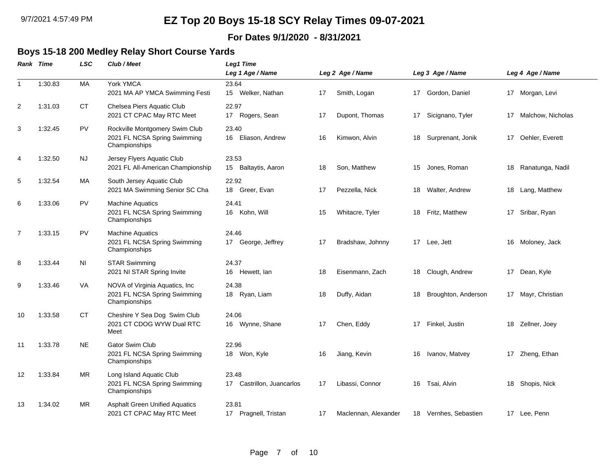### **For Dates 9/1/2020 - 8/31/2021**

## **Boys 15-18 200 Medley Relay Short Course Yards**

|                | Rank Time | LSC       | Club / Meet                                                                     | <b>Leg1 Time</b><br>Leg 1 Age / Name |    | Leg 2 Age / Name     |    | Leg 3 Age / Name      |    | Leg 4 Age / Name     |
|----------------|-----------|-----------|---------------------------------------------------------------------------------|--------------------------------------|----|----------------------|----|-----------------------|----|----------------------|
| $\overline{1}$ | 1:30.83   | MA        | York YMCA<br>2021 MA AP YMCA Swimming Festi                                     | 23.64<br>15 Welker, Nathan           | 17 | Smith, Logan         |    | 17 Gordon, Daniel     |    | 17 Morgan, Levi      |
| 2              | 1:31.03   | <b>CT</b> | Chelsea Piers Aquatic Club<br>2021 CT CPAC May RTC Meet                         | 22.97<br>17 Rogers, Sean             | 17 | Dupont, Thomas       |    | 17 Sicignano, Tyler   |    | 17 Malchow, Nicholas |
| 3              | 1:32.45   | PV        | Rockville Montgomery Swim Club<br>2021 FL NCSA Spring Swimming<br>Championships | 23.40<br>16 Eliason, Andrew          | 16 | Kimwon, Alvin        | 18 | Surprenant, Jonik     | 17 | Oehler, Everett      |
| $\overline{4}$ | 1:32.50   | NJ.       | Jersey Flyers Aquatic Club<br>2021 FL All-American Championship                 | 23.53<br>15<br>Baltaytis, Aaron      | 18 | Son, Matthew         | 15 | Jones, Roman          | 18 | Ranatunga, Nadil     |
| 5              | 1:32.54   | MA        | South Jersey Aquatic Club<br>2021 MA Swimming Senior SC Cha                     | 22.92<br>18 Greer, Evan              | 17 | Pezzella, Nick       | 18 | Walter, Andrew        |    | 18 Lang, Matthew     |
| 6              | 1:33.06   | <b>PV</b> | <b>Machine Aquatics</b><br>2021 FL NCSA Spring Swimming<br>Championships        | 24.41<br>16 Kohn, Will               | 15 | Whitacre, Tyler      | 18 | Fritz, Matthew        |    | 17 Sribar, Ryan      |
| $\overline{7}$ | 1:33.15   | <b>PV</b> | <b>Machine Aquatics</b><br>2021 FL NCSA Spring Swimming<br>Championships        | 24.46<br>17 George, Jeffrey          | 17 | Bradshaw, Johnny     |    | 17 Lee, Jett          | 16 | Moloney, Jack        |
| 8              | 1:33.44   | ΝI        | <b>STAR Swimming</b><br>2021 NI STAR Spring Invite                              | 24.37<br>16 Hewett, lan              | 18 | Eisenmann, Zach      | 18 | Clough, Andrew        | 17 | Dean, Kyle           |
| 9              | 1:33.46   | VA        | NOVA of Virginia Aquatics, Inc<br>2021 FL NCSA Spring Swimming<br>Championships | 24.38<br>18 Ryan, Liam               | 18 | Duffy, Aidan         | 18 | Broughton, Anderson   |    | 17 Mayr, Christian   |
| 10             | 1:33.58   | <b>CT</b> | Cheshire Y Sea Dog Swim Club<br>2021 CT CDOG WYW Dual RTC<br>Meet               | 24.06<br>16 Wynne, Shane             | 17 | Chen, Eddy           | 17 | Finkel, Justin        | 18 | Zellner, Joey        |
| 11             | 1:33.78   | <b>NE</b> | <b>Gator Swim Club</b><br>2021 FL NCSA Spring Swimming<br>Championships         | 22.96<br>18 Won, Kyle                | 16 | Jiang, Kevin         | 16 | Ivanov, Matvey        |    | 17 Zheng, Ethan      |
| 12             | 1:33.84   | <b>MR</b> | Long Island Aquatic Club<br>2021 FL NCSA Spring Swimming<br>Championships       | 23.48<br>17 Castrillon, Juancarlos   | 17 | Libassi, Connor      | 16 | Tsai, Alvin           | 18 | Shopis, Nick         |
| 13             | 1:34.02   | <b>MR</b> | <b>Asphalt Green Unified Aquatics</b><br>2021 CT CPAC May RTC Meet              | 23.81<br>17 Pragnell, Tristan        | 17 | Maclennan, Alexander |    | 18 Vernhes, Sebastien |    | 17 Lee, Penn         |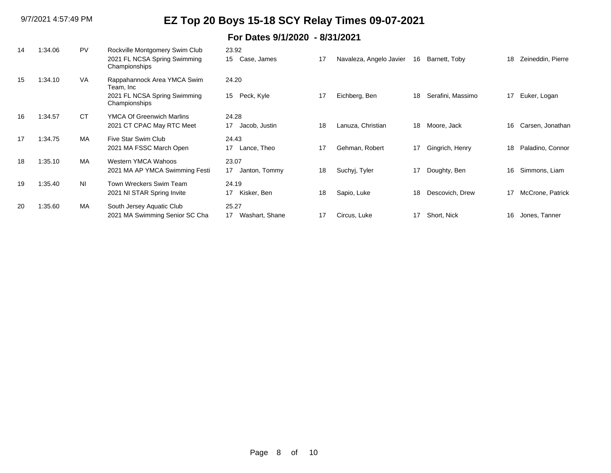| 14 | 1:34.06 | <b>PV</b>      | Rockville Montgomery Swim Club<br>2021 FL NCSA Spring Swimming<br>Championships           | 23.92<br>15 Case, James       | 17 | Navaleza, Angelo Javier | 16 | Barnett, Toby     | 18 | Zeineddin, Pierre |
|----|---------|----------------|-------------------------------------------------------------------------------------------|-------------------------------|----|-------------------------|----|-------------------|----|-------------------|
| 15 | 1:34.10 | <b>VA</b>      | Rappahannock Area YMCA Swim<br>Team, Inc<br>2021 FL NCSA Spring Swimming<br>Championships | 24.20<br>Peck, Kyle<br>15     | 17 | Eichberg, Ben           | 18 | Serafini, Massimo | 17 | Euker, Logan      |
| 16 | 1:34.57 | СT             | <b>YMCA Of Greenwich Marlins</b><br>2021 CT CPAC May RTC Meet                             | 24.28<br>17<br>Jacob, Justin  | 18 | Lanuza, Christian       | 18 | Moore, Jack       | 16 | Carsen, Jonathan  |
| 17 | 1:34.75 | MA             | Five Star Swim Club<br>2021 MA FSSC March Open                                            | 24.43<br>17<br>Lance, Theo    | 17 | Gehman, Robert          | 17 | Gingrich, Henry   | 18 | Paladino, Connor  |
| 18 | 1:35.10 | <b>MA</b>      | Western YMCA Wahoos<br>2021 MA AP YMCA Swimming Festi                                     | 23.07<br>17<br>Janton, Tommy  | 18 | Suchyj, Tyler           | 17 | Doughty, Ben      | 16 | Simmons, Liam     |
| 19 | 1:35.40 | N <sub>1</sub> | Town Wreckers Swim Team<br>2021 NI STAR Spring Invite                                     | 24.19<br>Kisker, Ben<br>17    | 18 | Sapio, Luke             | 18 | Descovich, Drew   | 17 | McCrone, Patrick  |
| 20 | 1:35.60 | MA             | South Jersey Aquatic Club<br>2021 MA Swimming Senior SC Cha                               | 25.27<br>Washart, Shane<br>17 | 17 | Circus, Luke            | 17 | Short, Nick       | 16 | Jones, Tanner     |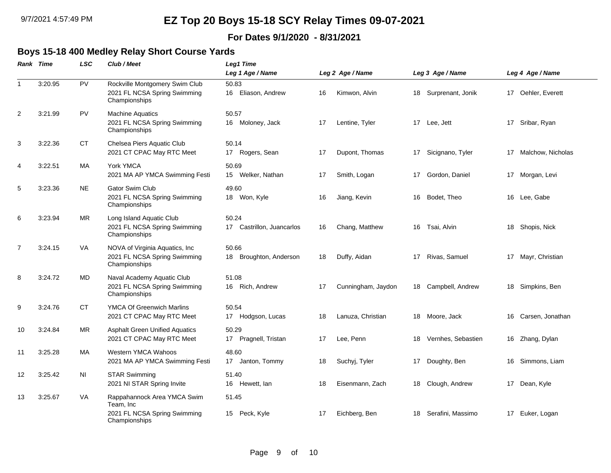### **For Dates 9/1/2020 - 8/31/2021**

## **Boys 15-18 400 Medley Relay Short Course Yards**

|                | <b>Rank Time</b> | LSC       | Club / Meet                                                                               | Leg1 Time                             |    |                    |    |                    |    |                    |
|----------------|------------------|-----------|-------------------------------------------------------------------------------------------|---------------------------------------|----|--------------------|----|--------------------|----|--------------------|
|                |                  |           |                                                                                           | Leg 1 Age / Name                      |    | Leg 2 Age / Name   |    | Leg 3 Age / Name   |    | Leg 4 Age / Name   |
| $\mathbf{1}$   | 3:20.95          | <b>PV</b> | Rockville Montgomery Swim Club<br>2021 FL NCSA Spring Swimming<br>Championships           | 50.83<br>Eliason, Andrew<br>16        | 16 | Kimwon, Alvin      | 18 | Surprenant, Jonik  |    | 17 Oehler, Everett |
| 2              | 3:21.99          | <b>PV</b> | <b>Machine Aquatics</b><br>2021 FL NCSA Spring Swimming<br>Championships                  | 50.57<br>16 Moloney, Jack             | 17 | Lentine, Tyler     |    | 17 Lee, Jett       | 17 | Sribar, Ryan       |
| 3              | 3:22.36          | CT        | Chelsea Piers Aquatic Club<br>2021 CT CPAC May RTC Meet                                   | 50.14<br>17 Rogers, Sean              | 17 | Dupont, Thomas     | 17 | Sicignano, Tyler   | 17 | Malchow, Nicholas  |
| 4              | 3:22.51          | MA        | York YMCA<br>2021 MA AP YMCA Swimming Festi                                               | 50.69<br>15 Welker, Nathan            | 17 | Smith, Logan       |    | 17 Gordon, Daniel  |    | 17 Morgan, Levi    |
| 5              | 3:23.36          | <b>NE</b> | <b>Gator Swim Club</b><br>2021 FL NCSA Spring Swimming<br>Championships                   | 49.60<br>18 Won, Kyle                 | 16 | Jiang, Kevin       | 16 | Bodet, Theo        |    | 16 Lee, Gabe       |
| 6              | 3:23.94          | MR.       | Long Island Aquatic Club<br>2021 FL NCSA Spring Swimming<br>Championships                 | 50.24<br>Castrillon, Juancarlos<br>17 | 16 | Chang, Matthew     | 16 | Tsai, Alvin        | 18 | Shopis, Nick       |
| $\overline{7}$ | 3:24.15          | VA        | NOVA of Virginia Aquatics, Inc.<br>2021 FL NCSA Spring Swimming<br>Championships          | 50.66<br>Broughton, Anderson<br>18    | 18 | Duffy, Aidan       | 17 | Rivas, Samuel      |    | 17 Mayr, Christian |
| 8              | 3:24.72          | MD        | Naval Academy Aquatic Club<br>2021 FL NCSA Spring Swimming<br>Championships               | 51.08<br>16 Rich, Andrew              | 17 | Cunningham, Jaydon | 18 | Campbell, Andrew   |    | 18 Simpkins, Ben   |
| 9              | 3:24.76          | <b>CT</b> | <b>YMCA Of Greenwich Marlins</b><br>2021 CT CPAC May RTC Meet                             | 50.54<br>17 Hodgson, Lucas            | 18 | Lanuza, Christian  | 18 | Moore, Jack        | 16 | Carsen, Jonathan   |
| 10             | 3:24.84          | MR        | <b>Asphalt Green Unified Aquatics</b><br>2021 CT CPAC May RTC Meet                        | 50.29<br>17 Pragnell, Tristan         | 17 | Lee, Penn          | 18 | Vernhes, Sebastien |    | 16 Zhang, Dylan    |
| 11             | 3:25.28          | MA        | Western YMCA Wahoos<br>2021 MA AP YMCA Swimming Festi                                     | 48.60<br>17 Janton, Tommy             | 18 | Suchyj, Tyler      | 17 | Doughty, Ben       | 16 | Simmons, Liam      |
| 12             | 3:25.42          | ΝI        | <b>STAR Swimming</b><br>2021 NI STAR Spring Invite                                        | 51.40<br>16 Hewett, lan               | 18 | Eisenmann, Zach    | 18 | Clough, Andrew     |    | 17 Dean, Kyle      |
| 13             | 3:25.67          | VA        | Rappahannock Area YMCA Swim<br>Team, Inc<br>2021 FL NCSA Spring Swimming<br>Championships | 51.45<br>15<br>Peck, Kyle             | 17 | Eichberg, Ben      | 18 | Serafini, Massimo  | 17 | Euker, Logan       |